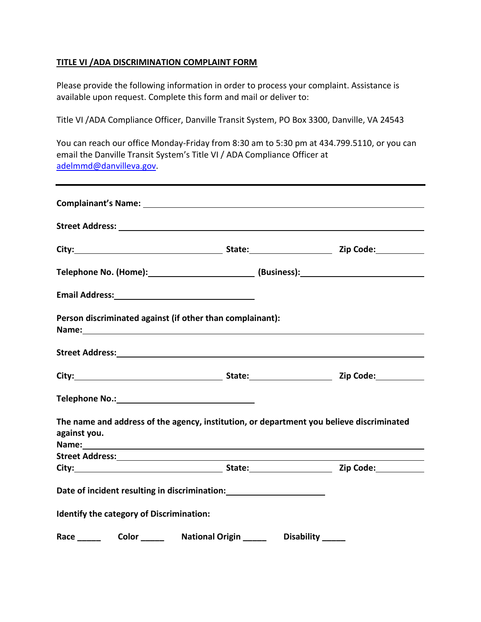## **TITLE VI /ADA DISCRIMINATION COMPLAINT FORM**

Please provide the following information in order to process your complaint. Assistance is available upon request. Complete this form and mail or deliver to:

Title VI /ADA Compliance Officer, Danville Transit System, PO Box 3300, Danville, VA 24543

You can reach our office Monday-Friday from 8:30 am to 5:30 pm at 434.799.5110, or you can email the Danville Transit System's Title VI / ADA Compliance Officer at [adelmmd@danvilleva.gov.](mailto:adelmmd@danvilleva.gov)

| Person discriminated against (if other than complainant):<br>Name: 1988 - 1989 - 1989 - 1989 - 1989 - 1989 - 1989 - 1989 - 1989 - 1989 - 1989 - 1989 - 1989 - 1989 - 1989 -                                                                                                                                                                |  |  |
|--------------------------------------------------------------------------------------------------------------------------------------------------------------------------------------------------------------------------------------------------------------------------------------------------------------------------------------------|--|--|
|                                                                                                                                                                                                                                                                                                                                            |  |  |
|                                                                                                                                                                                                                                                                                                                                            |  |  |
|                                                                                                                                                                                                                                                                                                                                            |  |  |
| The name and address of the agency, institution, or department you believe discriminated<br>against you.<br>Name: 1988 - 1989 - 1989 - 1989 - 1989 - 1989 - 1989 - 1989 - 1989 - 1989 - 1989 - 1989 - 1989 - 1989 - 1989 - 1989 - 1989 - 1989 - 1989 - 1989 - 1989 - 1989 - 1989 - 1989 - 1989 - 1989 - 1989 - 1989 - 1989 - 1989 - 1989 - |  |  |
|                                                                                                                                                                                                                                                                                                                                            |  |  |
|                                                                                                                                                                                                                                                                                                                                            |  |  |
| Date of incident resulting in discrimination: __________________________________                                                                                                                                                                                                                                                           |  |  |
| <b>Identify the category of Discrimination:</b>                                                                                                                                                                                                                                                                                            |  |  |
| Race Color National Origin Disability                                                                                                                                                                                                                                                                                                      |  |  |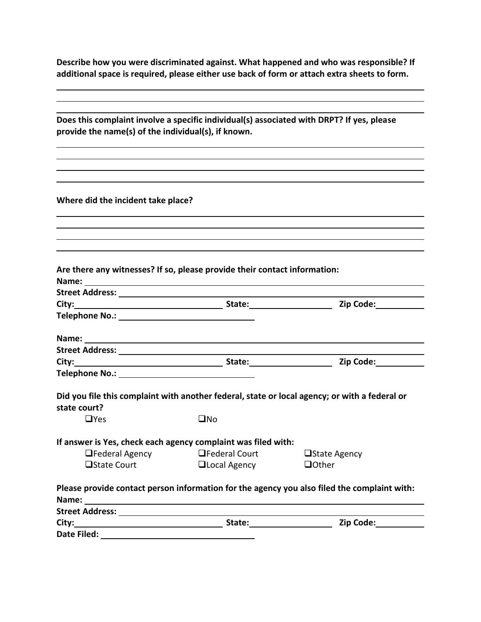**Describe how you were discriminated against. What happened and who was responsible? If additional space is required, please either use back of form or attach extra sheets to form.**

|                                                                                                                                                                                                                                |                                            | Does this complaint involve a specific individual(s) associated with DRPT? If yes, please                                                                                                                                     |
|--------------------------------------------------------------------------------------------------------------------------------------------------------------------------------------------------------------------------------|--------------------------------------------|-------------------------------------------------------------------------------------------------------------------------------------------------------------------------------------------------------------------------------|
| provide the name(s) of the individual(s), if known.                                                                                                                                                                            |                                            |                                                                                                                                                                                                                               |
|                                                                                                                                                                                                                                |                                            |                                                                                                                                                                                                                               |
|                                                                                                                                                                                                                                |                                            | ,我们也不会有什么。""我们的人,我们也不会有什么?""我们的人,我们也不会有什么?""我们的人,我们也不会有什么?""我们的人,我们也不会有什么?""我们的人                                                                                                                                              |
|                                                                                                                                                                                                                                |                                            |                                                                                                                                                                                                                               |
| Where did the incident take place?                                                                                                                                                                                             |                                            |                                                                                                                                                                                                                               |
|                                                                                                                                                                                                                                |                                            |                                                                                                                                                                                                                               |
|                                                                                                                                                                                                                                |                                            |                                                                                                                                                                                                                               |
|                                                                                                                                                                                                                                |                                            |                                                                                                                                                                                                                               |
|                                                                                                                                                                                                                                |                                            |                                                                                                                                                                                                                               |
| Are there any witnesses? If so, please provide their contact information:                                                                                                                                                      |                                            |                                                                                                                                                                                                                               |
|                                                                                                                                                                                                                                |                                            |                                                                                                                                                                                                                               |
| Street Address: New York Street Address:                                                                                                                                                                                       |                                            |                                                                                                                                                                                                                               |
|                                                                                                                                                                                                                                |                                            |                                                                                                                                                                                                                               |
|                                                                                                                                                                                                                                |                                            |                                                                                                                                                                                                                               |
|                                                                                                                                                                                                                                |                                            |                                                                                                                                                                                                                               |
| Street Address: National Address: National Address: National Address: National Address: National Address: National Address: National Address: National Address: National Address: National Address: National Address: National |                                            |                                                                                                                                                                                                                               |
|                                                                                                                                                                                                                                |                                            |                                                                                                                                                                                                                               |
|                                                                                                                                                                                                                                |                                            |                                                                                                                                                                                                                               |
|                                                                                                                                                                                                                                |                                            |                                                                                                                                                                                                                               |
|                                                                                                                                                                                                                                |                                            | Did you file this complaint with another federal, state or local agency; or with a federal or                                                                                                                                 |
| state court?                                                                                                                                                                                                                   |                                            |                                                                                                                                                                                                                               |
| $\Box$ Yes                                                                                                                                                                                                                     | $\square$ No                               |                                                                                                                                                                                                                               |
|                                                                                                                                                                                                                                |                                            |                                                                                                                                                                                                                               |
| If answer is Yes, check each agency complaint was filed with:                                                                                                                                                                  |                                            |                                                                                                                                                                                                                               |
|                                                                                                                                                                                                                                | $\Box$ Federal Agency $\Box$ Federal Court | □State Agency                                                                                                                                                                                                                 |
|                                                                                                                                                                                                                                | □State Court □Local Agency                 | $\Box$ Other                                                                                                                                                                                                                  |
|                                                                                                                                                                                                                                |                                            | Please provide contact person information for the agency you also filed the complaint with:                                                                                                                                   |
|                                                                                                                                                                                                                                |                                            |                                                                                                                                                                                                                               |
|                                                                                                                                                                                                                                |                                            | City: City: City: City: City: City: City: City: City: City: City: Code: City: City: Code: City: Code: City: City: Code: City: City: City: City: City: City: City: City: City: City: City: City: City: City: City: City: City: |
|                                                                                                                                                                                                                                |                                            |                                                                                                                                                                                                                               |